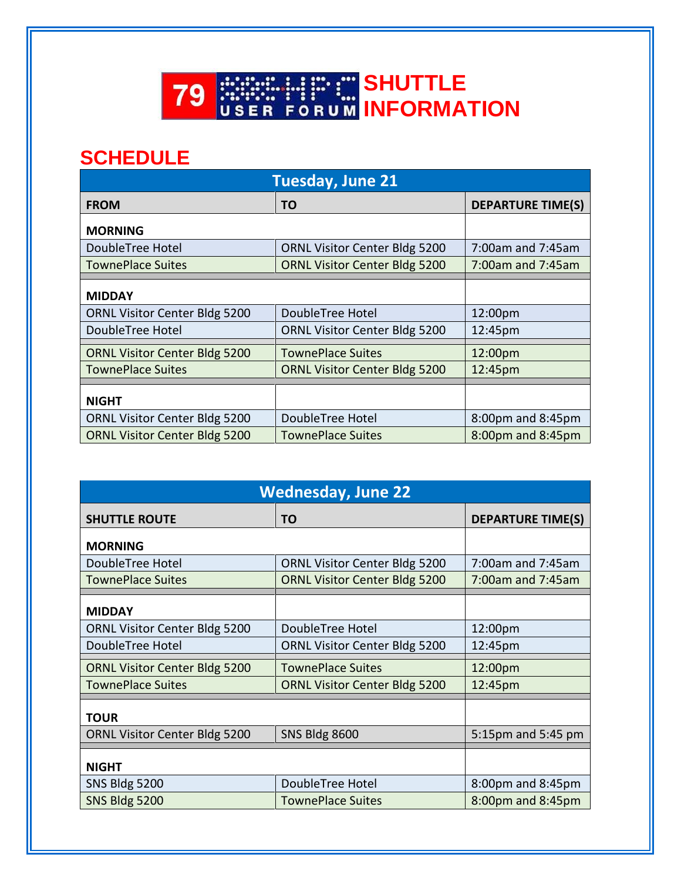

## **SCHEDULE**

| <b>Tuesday, June 21</b>              |                                      |                          |  |
|--------------------------------------|--------------------------------------|--------------------------|--|
| <b>FROM</b>                          | TO                                   | <b>DEPARTURE TIME(S)</b> |  |
| <b>MORNING</b>                       |                                      |                          |  |
| DoubleTree Hotel                     | <b>ORNL Visitor Center Bldg 5200</b> | 7:00am and 7:45am        |  |
| <b>TownePlace Suites</b>             | <b>ORNL Visitor Center Bldg 5200</b> | $7:00$ am and $7:45$ am  |  |
| <b>MIDDAY</b>                        |                                      |                          |  |
| <b>ORNL Visitor Center Bldg 5200</b> | DoubleTree Hotel                     | 12:00pm                  |  |
| DoubleTree Hotel                     | <b>ORNL Visitor Center Bldg 5200</b> | 12:45pm                  |  |
| <b>ORNL Visitor Center Bldg 5200</b> | <b>TownePlace Suites</b>             | 12:00pm                  |  |
| <b>TownePlace Suites</b>             | <b>ORNL Visitor Center Bldg 5200</b> | 12:45pm                  |  |
| <b>NIGHT</b>                         |                                      |                          |  |
| <b>ORNL Visitor Center Bldg 5200</b> | DoubleTree Hotel                     | 8:00pm and 8:45pm        |  |
| <b>ORNL Visitor Center Bldg 5200</b> | <b>TownePlace Suites</b>             | 8:00pm and 8:45pm        |  |

| <b>Wednesday, June 22</b>            |                                      |                          |  |
|--------------------------------------|--------------------------------------|--------------------------|--|
| <b>SHUTTLE ROUTE</b>                 | TO                                   | <b>DEPARTURE TIME(S)</b> |  |
| <b>MORNING</b>                       |                                      |                          |  |
| DoubleTree Hotel                     | <b>ORNL Visitor Center Bldg 5200</b> | 7:00am and 7:45am        |  |
| <b>TownePlace Suites</b>             | <b>ORNL Visitor Center Bldg 5200</b> | 7:00am and 7:45am        |  |
| <b>MIDDAY</b>                        |                                      |                          |  |
| <b>ORNL Visitor Center Bldg 5200</b> | DoubleTree Hotel                     | 12:00pm                  |  |
| DoubleTree Hotel                     | <b>ORNL Visitor Center Bldg 5200</b> | 12:45pm                  |  |
| <b>ORNL Visitor Center Bldg 5200</b> | <b>TownePlace Suites</b>             | 12:00pm                  |  |
| <b>TownePlace Suites</b>             | <b>ORNL Visitor Center Bldg 5200</b> | 12:45pm                  |  |
| <b>TOUR</b>                          |                                      |                          |  |
| <b>ORNL Visitor Center Bldg 5200</b> | <b>SNS Bldg 8600</b>                 | 5:15pm and 5:45 pm       |  |
| <b>NIGHT</b>                         |                                      |                          |  |
| SNS Bldg 5200                        | DoubleTree Hotel                     | 8:00pm and 8:45pm        |  |
| <b>SNS Bldg 5200</b>                 | <b>TownePlace Suites</b>             | 8:00pm and 8:45pm        |  |